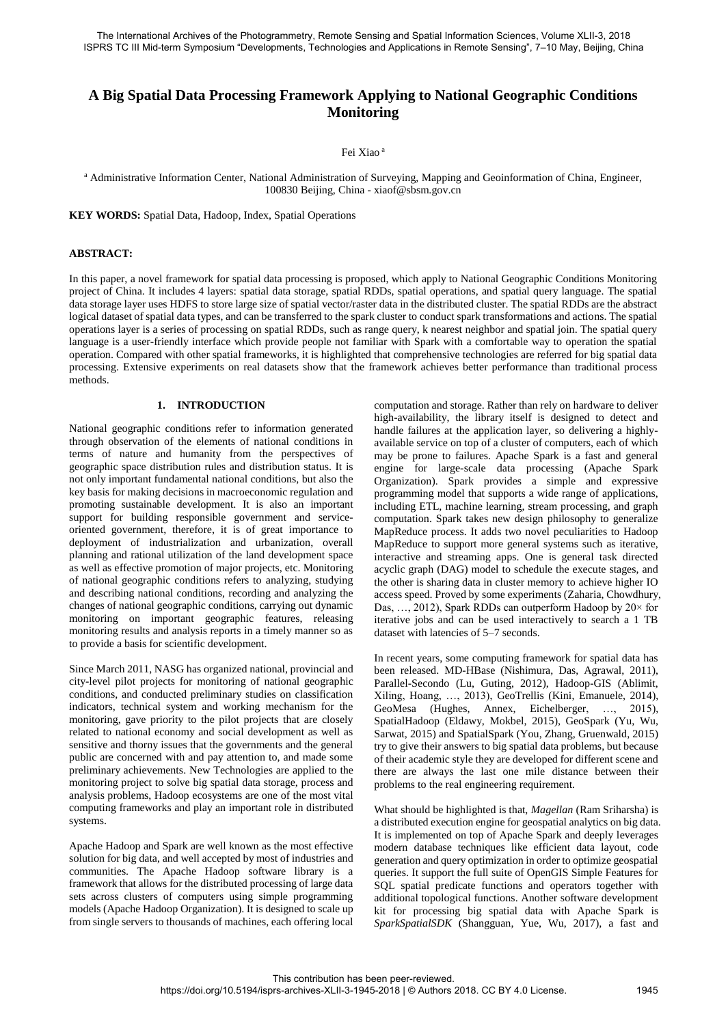The International Archives of the Photogrammetry, Remote Sensing and Spatial Information Sciences, Volume XLII-3, 2018 ISPRS TC III Mid-term Symposium "Developments, Technologies and Applications in Remote Sensing", 7–10 May, Beijing, China

# **A Big Spatial Data Processing Framework Applying to National Geographic Conditions Monitoring**

#### Fei Xiao <sup>a</sup>

<sup>a</sup> Administrative Information Center, National Administration of Surveying, Mapping and Geoinformation of China, Engineer, 100830 Beijing, China - xiaof@sbsm.gov.cn

**KEY WORDS:** Spatial Data, Hadoop, Index, Spatial Operations

### **ABSTRACT:**

In this paper, a novel framework for spatial data processing is proposed, which apply to National Geographic Conditions Monitoring project of China. It includes 4 layers: spatial data storage, spatial RDDs, spatial operations, and spatial query language. The spatial data storage layer uses HDFS to store large size of spatial vector/raster data in the distributed cluster. The spatial RDDs are the abstract logical dataset of spatial data types, and can be transferred to the spark cluster to conduct spark transformations and actions. The spatial operations layer is a series of processing on spatial RDDs, such as range query, k nearest neighbor and spatial join. The spatial query language is a user-friendly interface which provide people not familiar with Spark with a comfortable way to operation the spatial operation. Compared with other spatial frameworks, it is highlighted that comprehensive technologies are referred for big spatial data processing. Extensive experiments on real datasets show that the framework achieves better performance than traditional process methods.

### **1. INTRODUCTION**

National geographic conditions refer to information generated through observation of the elements of national conditions in terms of nature and humanity from the perspectives of geographic space distribution rules and distribution status. It is not only important fundamental national conditions, but also the key basis for making decisions in macroeconomic regulation and promoting sustainable development. It is also an important support for building responsible government and serviceoriented government, therefore, it is of great importance to deployment of industrialization and urbanization, overall planning and rational utilization of the land development space as well as effective promotion of major projects, etc. Monitoring of national geographic conditions refers to analyzing, studying and describing national conditions, recording and analyzing the changes of national geographic conditions, carrying out dynamic monitoring on important geographic features, releasing monitoring results and analysis reports in a timely manner so as to provide a basis for scientific development.

Since March 2011, NASG has organized national, provincial and city-level pilot projects for monitoring of national geographic conditions, and conducted preliminary studies on classification indicators, technical system and working mechanism for the monitoring, gave priority to the pilot projects that are closely related to national economy and social development as well as sensitive and thorny issues that the governments and the general public are concerned with and pay attention to, and made some preliminary achievements. New Technologies are applied to the monitoring project to solve big spatial data storage, process and analysis problems, Hadoop ecosystems are one of the most vital computing frameworks and play an important role in distributed systems.

Apache Hadoop and Spark are well known as the most effective solution for big data, and well accepted by most of industries and communities. The Apache Hadoop software library is a framework that allows for the distributed processing of large data sets across clusters of computers using simple programming models (Apache Hadoop Organization). It is designed to scale up from single servers to thousands of machines, each offering local

computation and storage. Rather than rely on hardware to deliver high-availability, the library itself is designed to detect and handle failures at the application layer, so delivering a highlyavailable service on top of a cluster of computers, each of which may be prone to failures. Apache Spark is a fast and general engine for large-scale data processing (Apache Spark Organization). Spark provides a simple and expressive programming model that supports a wide range of applications, including ETL, machine learning, stream processing, and graph computation. Spark takes new design philosophy to generalize MapReduce process. It adds two novel peculiarities to Hadoop MapReduce to support more general systems such as iterative, interactive and streaming apps. One is general task directed acyclic graph (DAG) model to schedule the execute stages, and the other is sharing data in cluster memory to achieve higher IO access speed. Proved by some experiments (Zaharia, Chowdhury, Das, …, 2012), Spark RDDs can outperform Hadoop by 20× for iterative jobs and can be used interactively to search a 1 TB dataset with latencies of 5–7 seconds.

In recent years, some computing framework for spatial data has been released. MD-HBase (Nishimura, Das, Agrawal, 2011), Parallel-Secondo (Lu, Guting, 2012), Hadoop-GIS (Ablimit, Xiling, Hoang, …, 2013), GeoTrellis (Kini, Emanuele, 2014), GeoMesa (Hughes, Annex, Eichelberger, …, 2015), SpatialHadoop (Eldawy, Mokbel, 2015), GeoSpark (Yu, Wu, Sarwat, 2015) and SpatialSpark (You, Zhang, Gruenwald, 2015) try to give their answers to big spatial data problems, but because of their academic style they are developed for different scene and there are always the last one mile distance between their problems to the real engineering requirement.

What should be highlighted is that, *Magellan* (Ram Sriharsha) is a distributed execution engine for geospatial analytics on big data. It is implemented on top of Apache Spark and deeply leverages modern database techniques like efficient data layout, code generation and query optimization in order to optimize geospatial queries. It support the full suite of OpenGIS Simple Features for SQL spatial predicate functions and operators together with additional topological functions. Another software development kit for processing big spatial data with Apache Spark is *SparkSpatialSDK* (Shangguan, Yue, Wu, 2017), a fast and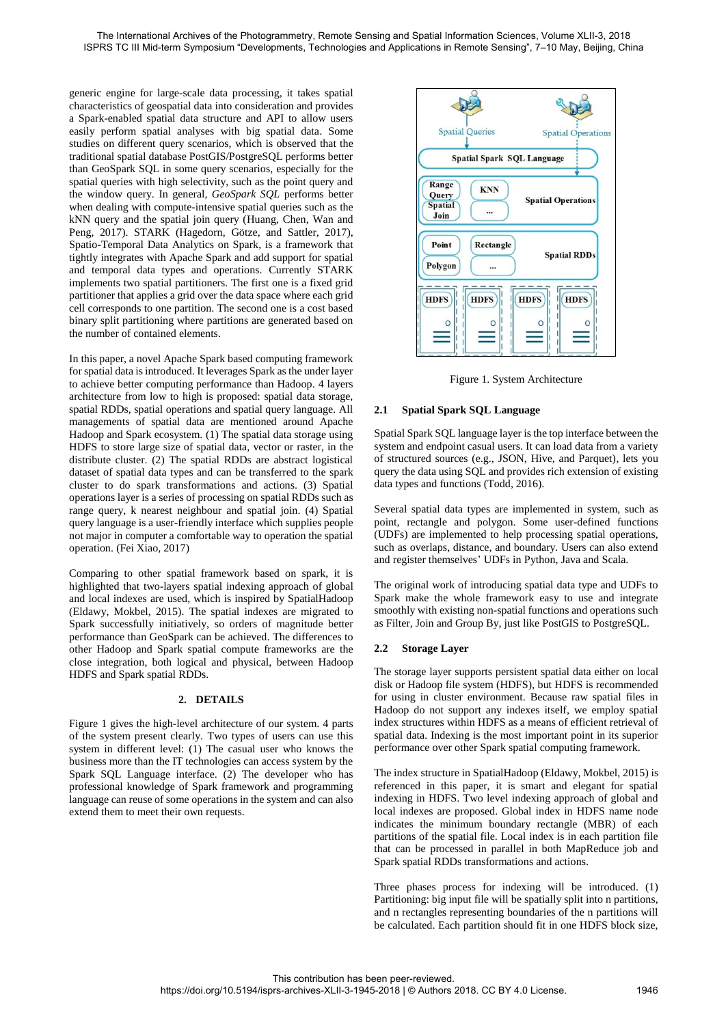generic engine for large-scale data processing, it takes spatial characteristics of geospatial data into consideration and provides a Spark-enabled spatial data structure and API to allow users easily perform spatial analyses with big spatial data. Some studies on different query scenarios, which is observed that the traditional spatial database PostGIS/PostgreSQL performs better than GeoSpark SQL in some query scenarios, especially for the spatial queries with high selectivity, such as the point query and the window query. In general, *GeoSpark SQL* performs better when dealing with compute-intensive spatial queries such as the kNN query and the spatial join query (Huang, Chen, Wan and Peng, 2017). STARK (Hagedorn, Götze, and Sattler, 2017), Spatio-Temporal Data Analytics on Spark, is a framework that tightly integrates with Apache Spark and add support for spatial and temporal data types and operations. Currently STARK implements two spatial partitioners. The first one is a fixed grid partitioner that applies a grid over the data space where each grid cell corresponds to one partition. The second one is a cost based binary split partitioning where partitions are generated based on the number of contained elements.

In this paper, a novel Apache Spark based computing framework for spatial data is introduced. It leverages Spark as the under layer to achieve better computing performance than Hadoop. 4 layers architecture from low to high is proposed: spatial data storage, spatial RDDs, spatial operations and spatial query language. All managements of spatial data are mentioned around Apache Hadoop and Spark ecosystem. (1) The spatial data storage using HDFS to store large size of spatial data, vector or raster, in the distribute cluster. (2) The spatial RDDs are abstract logistical dataset of spatial data types and can be transferred to the spark cluster to do spark transformations and actions. (3) Spatial operations layer is a series of processing on spatial RDDs such as range query, k nearest neighbour and spatial join. (4) Spatial query language is a user-friendly interface which supplies people not major in computer a comfortable way to operation the spatial operation. (Fei Xiao, 2017)

Comparing to other spatial framework based on spark, it is highlighted that two-layers spatial indexing approach of global and local indexes are used, which is inspired by SpatialHadoop (Eldawy, Mokbel, 2015). The spatial indexes are migrated to Spark successfully initiatively, so orders of magnitude better performance than GeoSpark can be achieved. The differences to other Hadoop and Spark spatial compute frameworks are the close integration, both logical and physical, between Hadoop HDFS and Spark spatial RDDs.

### **2. DETAILS**

Figure 1 gives the high-level architecture of our system. 4 parts of the system present clearly. Two types of users can use this system in different level: (1) The casual user who knows the business more than the IT technologies can access system by the Spark SQL Language interface. (2) The developer who has professional knowledge of Spark framework and programming language can reuse of some operations in the system and can also extend them to meet their own requests.



Figure 1. System Architecture

### **2.1 Spatial Spark SQL Language**

Spatial Spark SQL language layer is the top interface between the system and endpoint casual users. It can load data from a variety of structured sources (e.g., JSON, Hive, and Parquet), lets you query the data using SQL and provides rich extension of existing data types and functions (Todd, 2016).

Several spatial data types are implemented in system, such as point, rectangle and polygon. Some user-defined functions (UDFs) are implemented to help processing spatial operations, such as overlaps, distance, and boundary. Users can also extend and register themselves' UDFs in Python, Java and Scala.

The original work of introducing spatial data type and UDFs to Spark make the whole framework easy to use and integrate smoothly with existing non-spatial functions and operations such as Filter, Join and Group By, just like PostGIS to PostgreSQL.

### **2.2 Storage Layer**

The storage layer supports persistent spatial data either on local disk or Hadoop file system (HDFS), but HDFS is recommended for using in cluster environment. Because raw spatial files in Hadoop do not support any indexes itself, we employ spatial index structures within HDFS as a means of efficient retrieval of spatial data. Indexing is the most important point in its superior performance over other Spark spatial computing framework.

The index structure in SpatialHadoop (Eldawy, Mokbel, 2015) is referenced in this paper, it is smart and elegant for spatial indexing in HDFS. Two level indexing approach of global and local indexes are proposed. Global index in HDFS name node indicates the minimum boundary rectangle (MBR) of each partitions of the spatial file. Local index is in each partition file that can be processed in parallel in both MapReduce job and Spark spatial RDDs transformations and actions.

Three phases process for indexing will be introduced. (1) Partitioning: big input file will be spatially split into n partitions, and n rectangles representing boundaries of the n partitions will be calculated. Each partition should fit in one HDFS block size,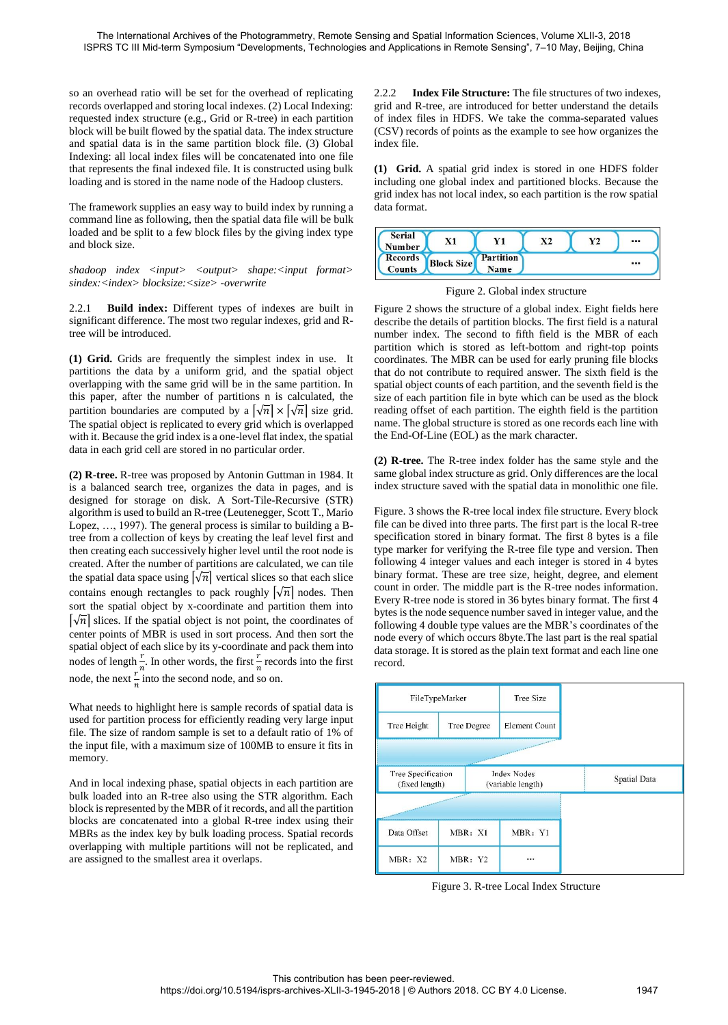so an overhead ratio will be set for the overhead of replicating records overlapped and storing local indexes. (2) Local Indexing: requested index structure (e.g., Grid or R-tree) in each partition block will be built flowed by the spatial data. The index structure and spatial data is in the same partition block file. (3) Global Indexing: all local index files will be concatenated into one file that represents the final indexed file. It is constructed using bulk loading and is stored in the name node of the Hadoop clusters.

The framework supplies an easy way to build index by running a command line as following, then the spatial data file will be bulk loaded and be split to a few block files by the giving index type and block size.

shadoop index  $\langle$ input>  $\langle$ output> shape: $\langle$ input format> *sindex:<index> blocksize:<size> -overwrite*

2.2.1 **Build index:** Different types of indexes are built in significant difference. The most two regular indexes, grid and Rtree will be introduced.

**(1) Grid.** Grids are frequently the simplest index in use. It partitions the data by a uniform grid, and the spatial object overlapping with the same grid will be in the same partition. In this paper, after the number of partitions n is calculated, the partition boundaries are computed by a  $\lceil \sqrt{n} \rceil \times \lceil \sqrt{n} \rceil$  size grid. The spatial object is replicated to every grid which is overlapped with it. Because the grid index is a one-level flat index, the spatial data in each grid cell are stored in no particular order.

**(2) R-tree.** R-tree was proposed by Antonin Guttman in 1984. It is a balanced search tree, organizes the data in pages, and is designed for storage on disk. A Sort-Tile-Recursive (STR) algorithm is used to build an R-tree (Leutenegger, Scott T., Mario Lopez, …, 1997). The general process is similar to building a Btree from a collection of keys by creating the leaf level first and then creating each successively higher level until the root node is created. After the number of partitions are calculated, we can tile the spatial data space using  $\lceil\sqrt{n}\rceil$  vertical slices so that each slice contains enough rectangles to pack roughly  $\lceil\sqrt{n}\rceil$  nodes. Then sort the spatial object by x-coordinate and partition them into  $|\sqrt{n}|$  slices. If the spatial object is not point, the coordinates of center points of MBR is used in sort process. And then sort the spatial object of each slice by its y-coordinate and pack them into nodes of length  $\frac{r}{n}$ . In other words, the first  $\frac{r}{n}$  records into the first node, the next  $\frac{r}{n}$  into the second node, and so on.

What needs to highlight here is sample records of spatial data is used for partition process for efficiently reading very large input file. The size of random sample is set to a default ratio of 1% of the input file, with a maximum size of 100MB to ensure it fits in memory.

And in local indexing phase, spatial objects in each partition are bulk loaded into an R-tree also using the STR algorithm. Each block is represented by the MBR of it records, and all the partition blocks are concatenated into a global R-tree index using their MBRs as the index key by bulk loading process. Spatial records overlapping with multiple partitions will not be replicated, and are assigned to the smallest area it overlaps.

2.2.2 **Index File Structure:** The file structures of two indexes, grid and R-tree, are introduced for better understand the details of index files in HDFS. We take the comma-separated values (CSV) records of points as the example to see how organizes the index file.

**(1) Grid.** A spatial grid index is stored in one HDFS folder including one global index and partitioned blocks. Because the grid index has not local index, so each partition is the row spatial data format.





Figure 2 shows the structure of a global index. Eight fields here describe the details of partition blocks. The first field is a natural number index. The second to fifth field is the MBR of each partition which is stored as left-bottom and right-top points coordinates. The MBR can be used for early pruning file blocks that do not contribute to required answer. The sixth field is the spatial object counts of each partition, and the seventh field is the size of each partition file in byte which can be used as the block reading offset of each partition. The eighth field is the partition name. The global structure is stored as one records each line with the End-Of-Line (EOL) as the mark character.

**(2) R-tree.** The R-tree index folder has the same style and the same global index structure as grid. Only differences are the local index structure saved with the spatial data in monolithic one file.

Figure. 3 shows the R-tree local index file structure. Every block file can be dived into three parts. The first part is the local R-tree specification stored in binary format. The first 8 bytes is a file type marker for verifying the R-tree file type and version. Then following 4 integer values and each integer is stored in 4 bytes binary format. These are tree size, height, degree, and element count in order. The middle part is the R-tree nodes information. Every R-tree node is stored in 36 bytes binary format. The first 4 bytes is the node sequence number saved in integer value, and the following 4 double type values are the MBR's coordinates of the node every of which occurs 8byte.The last part is the real spatial data storage. It is stored as the plain text format and each line one record.



Figure 3. R-tree Local Index Structure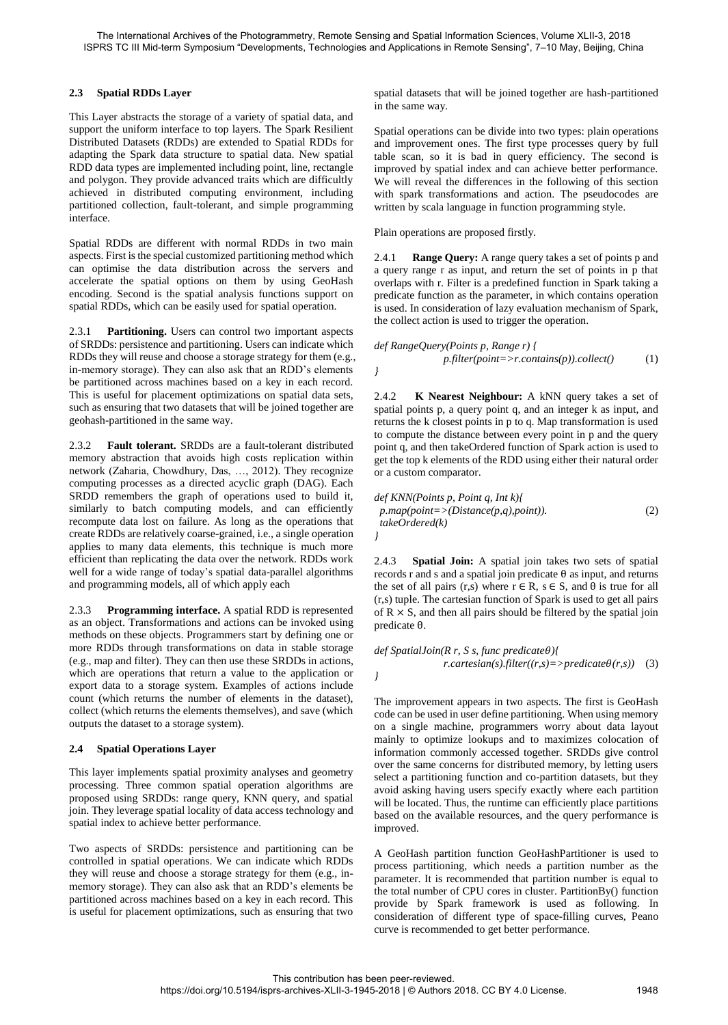## **2.3 Spatial RDDs Layer**

This Layer abstracts the storage of a variety of spatial data, and support the uniform interface to top layers. The Spark Resilient Distributed Datasets (RDDs) are extended to Spatial RDDs for adapting the Spark data structure to spatial data. New spatial RDD data types are implemented including point, line, rectangle and polygon. They provide advanced traits which are difficultly achieved in distributed computing environment, including partitioned collection, fault-tolerant, and simple programming interface.

Spatial RDDs are different with normal RDDs in two main aspects. First is the special customized partitioning method which can optimise the data distribution across the servers and accelerate the spatial options on them by using GeoHash encoding. Second is the spatial analysis functions support on spatial RDDs, which can be easily used for spatial operation.

2.3.1 **Partitioning.** Users can control two important aspects of SRDDs: persistence and partitioning. Users can indicate which RDDs they will reuse and choose a storage strategy for them (e.g., in-memory storage). They can also ask that an RDD's elements be partitioned across machines based on a key in each record. This is useful for placement optimizations on spatial data sets, such as ensuring that two datasets that will be joined together are geohash-partitioned in the same way.

2.3.2 **Fault tolerant.** SRDDs are a fault-tolerant distributed memory abstraction that avoids high costs replication within network (Zaharia, Chowdhury, Das, …, 2012). They recognize computing processes as a directed acyclic graph (DAG). Each SRDD remembers the graph of operations used to build it, similarly to batch computing models, and can efficiently recompute data lost on failure. As long as the operations that create RDDs are relatively coarse-grained, i.e., a single operation applies to many data elements, this technique is much more efficient than replicating the data over the network. RDDs work well for a wide range of today's spatial data-parallel algorithms and programming models, all of which apply each

2.3.3 **Programming interface.** A spatial RDD is represented as an object. Transformations and actions can be invoked using methods on these objects. Programmers start by defining one or more RDDs through transformations on data in stable storage (e.g., map and filter). They can then use these SRDDs in actions, which are operations that return a value to the application or export data to a storage system. Examples of actions include count (which returns the number of elements in the dataset), collect (which returns the elements themselves), and save (which outputs the dataset to a storage system).

# **2.4 Spatial Operations Layer**

This layer implements spatial proximity analyses and geometry processing. Three common spatial operation algorithms are proposed using SRDDs: range query, KNN query, and spatial join. They leverage spatial locality of data access technology and spatial index to achieve better performance.

Two aspects of SRDDs: persistence and partitioning can be controlled in spatial operations. We can indicate which RDDs they will reuse and choose a storage strategy for them (e.g., inmemory storage). They can also ask that an RDD's elements be partitioned across machines based on a key in each record. This is useful for placement optimizations, such as ensuring that two spatial datasets that will be joined together are hash-partitioned in the same way.

Spatial operations can be divide into two types: plain operations and improvement ones. The first type processes query by full table scan, so it is bad in query efficiency. The second is improved by spatial index and can achieve better performance. We will reveal the differences in the following of this section with spark transformations and action. The pseudocodes are written by scala language in function programming style.

Plain operations are proposed firstly.

2.4.1 **Range Query:** A range query takes a set of points p and a query range r as input, and return the set of points in p that overlaps with r. Filter is a predefined function in Spark taking a predicate function as the parameter, in which contains operation is used. In consideration of lazy evaluation mechanism of Spark, the collect action is used to trigger the operation.

$$
\text{def RangeQuery(Points p, Range r) {\n p. filter(point = > r. contains(p)).collect() \n (1) }
$$

2.4.2 **K Nearest Neighbour:** A kNN query takes a set of spatial points p, a query point q, and an integer k as input, and returns the k closest points in p to q. Map transformation is used to compute the distance between every point in p and the query point q, and then takeOrdered function of Spark action is used to get the top k elements of the RDD using either their natural order or a custom comparator.

$$
def KNN(Points p, Point q, Int k) { \n p. map(point=> (Distance(p,q), point)). \n (2) \n takeOrdered(k)
$$

2.4.3 **Spatial Join:** A spatial join takes two sets of spatial records r and s and a spatial join predicate  $\theta$  as input, and returns the set of all pairs (r,s) where  $r \in R$ ,  $s \in S$ , and  $\theta$  is true for all (r,s) tuple. The cartesian function of Spark is used to get all pairs of  $R \times S$ , and then all pairs should be filtered by the spatial join predicate θ.

*def SpatialJoin(R r, S s, func predicate){*  $r \cdot \text{cartesian}(s) \cdot \text{filter}((r,s) = \text{zpredicate}\theta(r,s))$  (3)

The improvement appears in two aspects. The first is GeoHash code can be used in user define partitioning. When using memory on a single machine, programmers worry about data layout mainly to optimize lookups and to maximizes colocation of information commonly accessed together. SRDDs give control over the same concerns for distributed memory, by letting users select a partitioning function and co-partition datasets, but they avoid asking having users specify exactly where each partition will be located. Thus, the runtime can efficiently place partitions based on the available resources, and the query performance is improved.

A GeoHash partition function GeoHashPartitioner is used to process partitioning, which needs a partition number as the parameter. It is recommended that partition number is equal to the total number of CPU cores in cluster. PartitionBy() function provide by Spark framework is used as following. In consideration of different type of space-filling curves, Peano curve is recommended to get better performance.

*}*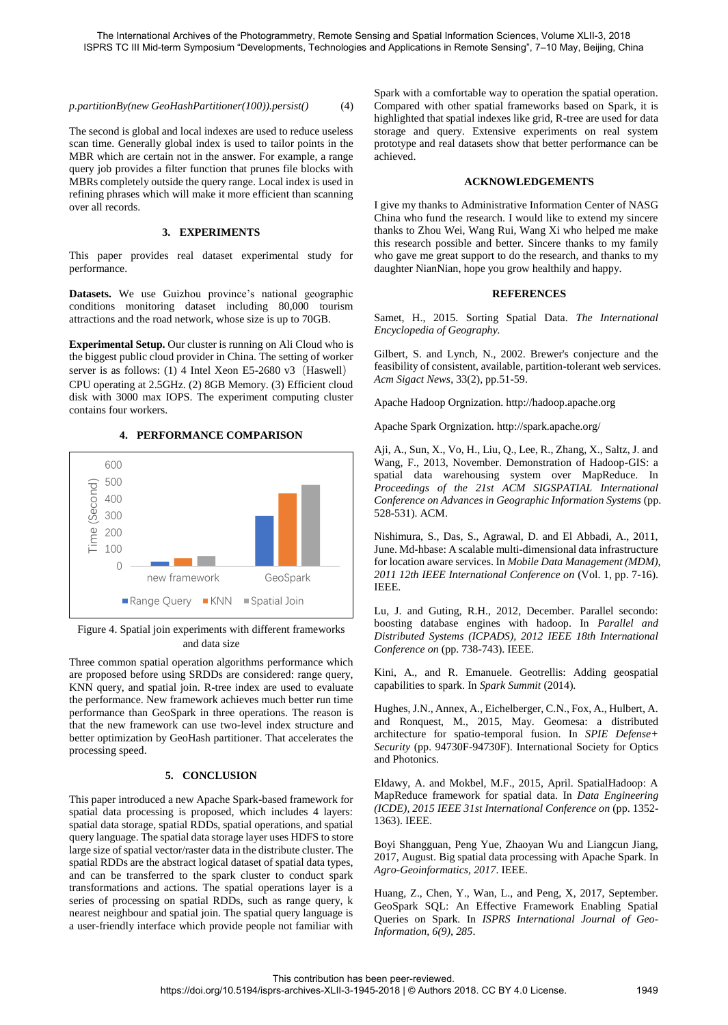*p.partitionBy(new GeoHashPartitioner(100)).persist()* (4)

The second is global and local indexes are used to reduce useless scan time. Generally global index is used to tailor points in the MBR which are certain not in the answer. For example, a range query job provides a filter function that prunes file blocks with MBRs completely outside the query range. Local index is used in refining phrases which will make it more efficient than scanning over all records.

### **3. EXPERIMENTS**

This paper provides real dataset experimental study for performance.

**Datasets.** We use Guizhou province's national geographic conditions monitoring dataset including 80,000 tourism attractions and the road network, whose size is up to 70GB.

**Experimental Setup.** Our cluster is running on Ali Cloud who is the biggest public cloud provider in China. The setting of worker server is as follows: (1) 4 Intel Xeon E5-2680 v3 (Haswell)

CPU operating at 2.5GHz. (2) 8GB Memory. (3) Efficient cloud disk with 3000 max IOPS. The experiment computing cluster contains four workers.



### **4. PERFORMANCE COMPARISON**

### Figure 4. Spatial join experiments with different frameworks and data size

Three common spatial operation algorithms performance which are proposed before using SRDDs are considered: range query, KNN query, and spatial join. R-tree index are used to evaluate the performance. New framework achieves much better run time performance than GeoSpark in three operations. The reason is that the new framework can use two-level index structure and better optimization by GeoHash partitioner. That accelerates the processing speed.

### **5. CONCLUSION**

This paper introduced a new Apache Spark-based framework for spatial data processing is proposed, which includes 4 layers: spatial data storage, spatial RDDs, spatial operations, and spatial query language. The spatial data storage layer uses HDFS to store large size of spatial vector/raster data in the distribute cluster. The spatial RDDs are the abstract logical dataset of spatial data types, and can be transferred to the spark cluster to conduct spark transformations and actions. The spatial operations layer is a series of processing on spatial RDDs, such as range query, k nearest neighbour and spatial join. The spatial query language is a user-friendly interface which provide people not familiar with Spark with a comfortable way to operation the spatial operation. Compared with other spatial frameworks based on Spark, it is highlighted that spatial indexes like grid, R-tree are used for data storage and query. Extensive experiments on real system prototype and real datasets show that better performance can be achieved.

#### **ACKNOWLEDGEMENTS**

I give my thanks to Administrative Information Center of NASG China who fund the research. I would like to extend my sincere thanks to Zhou Wei, Wang Rui, Wang Xi who helped me make this research possible and better. Sincere thanks to my family who gave me great support to do the research, and thanks to my daughter NianNian, hope you grow healthily and happy.

### **REFERENCES**

Samet, H., 2015. Sorting Spatial Data. *The International Encyclopedia of Geography.*

Gilbert, S. and Lynch, N., 2002. Brewer's conjecture and the feasibility of consistent, available, partition-tolerant web services. *Acm Sigact News*, 33(2), pp.51-59.

Apache Hadoop Orgnization. http://hadoop.apache.org

Apache Spark Orgnization. http://spark.apache.org/

Aji, A., Sun, X., Vo, H., Liu, Q., Lee, R., Zhang, X., Saltz, J. and Wang, F., 2013, November. Demonstration of Hadoop-GIS: a spatial data warehousing system over MapReduce. In *Proceedings of the 21st ACM SIGSPATIAL International Conference on Advances in Geographic Information Systems* (pp. 528-531). ACM.

Nishimura, S., Das, S., Agrawal, D. and El Abbadi, A., 2011, June. Md-hbase: A scalable multi-dimensional data infrastructure for location aware services. In *Mobile Data Management (MDM), 2011 12th IEEE International Conference on* (Vol. 1, pp. 7-16). IEEE.

Lu, J. and Guting, R.H., 2012, December. Parallel secondo: boosting database engines with hadoop. In *Parallel and Distributed Systems (ICPADS), 2012 IEEE 18th International Conference on* (pp. 738-743). IEEE.

Kini, A., and R. Emanuele. Geotrellis: Adding geospatial capabilities to spark. In *Spark Summit* (2014).

Hughes, J.N., Annex, A., Eichelberger, C.N., Fox, A., Hulbert, A. and Ronquest, M., 2015, May. Geomesa: a distributed architecture for spatio-temporal fusion. In *SPIE Defense+ Security* (pp. 94730F-94730F). International Society for Optics and Photonics.

Eldawy, A. and Mokbel, M.F., 2015, April. SpatialHadoop: A MapReduce framework for spatial data. In *Data Engineering (ICDE), 2015 IEEE 31st International Conference on* (pp. 1352- 1363). IEEE.

Boyi Shangguan, Peng Yue, Zhaoyan Wu and Liangcun Jiang, 2017, August. Big spatial data processing with Apache Spark. In *Agro-Geoinformatics, 2017*. IEEE.

Huang, Z., Chen, Y., Wan, L., and Peng, X, 2017, September. GeoSpark SQL: An Effective Framework Enabling Spatial Queries on Spark. In *ISPRS International Journal of Geo-Information, 6(9), 285*.